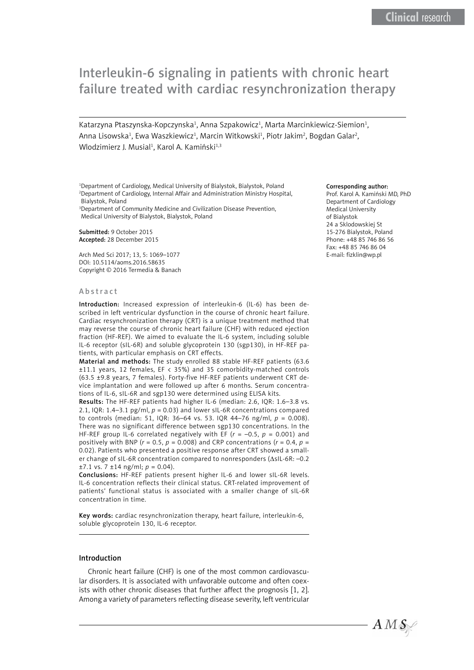# Interleukin-6 signaling in patients with chronic heart failure treated with cardiac resynchronization therapy

Katarzyna Ptaszynska-Kopczynska<sup>1</sup>, Anna Szpakowicz<sup>1</sup>, Marta Marcinkiewicz-Siemion<sup>1</sup>, Anna Lisowska<sup>1</sup>, Ewa Waszkiewicz<sup>1</sup>, Marcin Witkowski<sup>1</sup>, Piotr Jakim<sup>2</sup>, Bogdan Galar<sup>2</sup>, Wlodzimierz J. Musial<sup>1</sup>, Karol A. Kamiński<sup>1,3</sup>

1 Department of Cardiology, Medical University of Bialystok, Bialystok, Poland 2 Department of Cardiology, Internal Affair and Administration Ministry Hospital, Bialystok, Poland

3 Department of Community Medicine and Civilization Disease Prevention, Medical University of Bialystok, Bialystok, Poland

Submitted: 9 October 2015 Accepted: 28 December 2015

Arch Med Sci 2017; 13, 5: 1069–1077 DOI: 10.5114/aoms.2016.58635 Copyright © 2016 Termedia & Banach

#### Abstract

Introduction: Increased expression of interleukin-6 (IL-6) has been described in left ventricular dysfunction in the course of chronic heart failure. Cardiac resynchronization therapy (CRT) is a unique treatment method that may reverse the course of chronic heart failure (CHF) with reduced ejection fraction (HF-REF). We aimed to evaluate the IL-6 system, including soluble IL-6 receptor (sIL-6R) and soluble glycoprotein 130 (sgp130), in HF-REF patients, with particular emphasis on CRT effects.

Material and methods: The study enrolled 88 stable HF-REF patients (63.6 ±11.1 years, 12 females, EF < 35%) and 35 comorbidity-matched controls (63.5 ±9.8 years, 7 females). Forty-five HF-REF patients underwent CRT device implantation and were followed up after 6 months. Serum concentrations of IL-6, sIL-6R and sgp130 were determined using ELISA kits.

Results: The HF-REF patients had higher IL-6 (median: 2.6, IQR: 1.6–3.8 vs. 2.1, IQR: 1.4–3.1 pg/ml, *p* = 0.03) and lower sIL-6R concentrations compared to controls (median: 51, IQR: 36–64 vs. 53. IQR 44–76 ng/ml, *p* = 0.008). There was no significant difference between sgp130 concentrations. In the HF-REF group IL-6 correlated negatively with EF (*r* = –0.5, *p* = 0.001) and positively with BNP ( $r = 0.5$ ,  $p = 0.008$ ) and CRP concentrations ( $r = 0.4$ ,  $p =$ 0.02). Patients who presented a positive response after CRT showed a smaller change of sIL-6R concentration compared to nonresponders (ΔsIL-6R: –0.2  $\pm$ 7.1 vs. 7  $\pm$ 14 ng/ml; *p* = 0.04).

Conclusions: HF-REF patients present higher IL-6 and lower sIL-6R levels. IL-6 concentration reflects their clinical status. CRT-related improvement of patients' functional status is associated with a smaller change of sIL-6R concentration in time.

Key words: cardiac resynchronization therapy, heart failure, interleukin-6, soluble glycoprotein 130, IL-6 receptor.

#### Introduction

Chronic heart failure (CHF) is one of the most common cardiovascular disorders. It is associated with unfavorable outcome and often coexists with other chronic diseases that further affect the prognosis [1, 2]. Among a variety of parameters reflecting disease severity, left ventricular

#### Corresponding author:

Prof. Karol A. Kamiński MD, PhD Department of Cardiology Medical University of Bialystok 24 a Sklodowskiej St 15-276 Bialystok, Poland Phone: +48 85 746 86 56 Fax: +48 85 746 86 04 E-mail: fizklin@wp.pl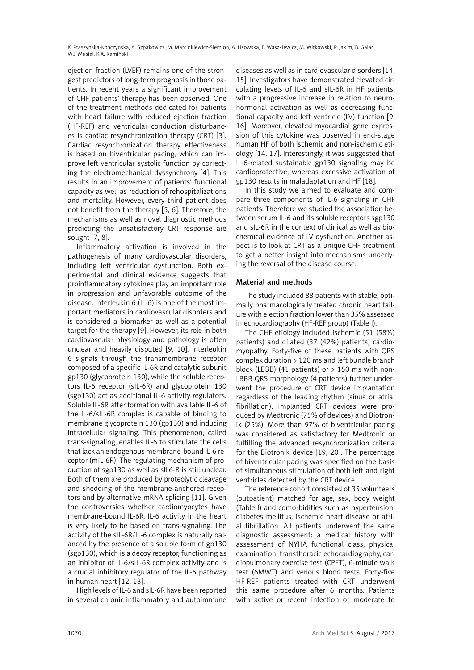ejection fraction (LVEF) remains one of the strongest predictors of long-term prognosis in those patients. In recent years a significant improvement of CHF patients' therapy has been observed. One of the treatment methods dedicated for patients with heart failure with reduced ejection fraction (HF-REF) and ventricular conduction disturbances is cardiac resynchronization therapy (CRT) [3]. Cardiac resynchronization therapy effectiveness is based on biventricular pacing, which can improve left ventricular systolic function by correcting the electromechanical dyssynchrony [4]. This results in an improvement of patients' functional capacity as well as reduction of rehospitalizations and mortality. However, every third patient does not benefit from the therapy [5, 6]. Therefore, the mechanisms as well as novel diagnostic methods predicting the unsatisfactory CRT response are sought [7, 8].

Inflammatory activation is involved in the pathogenesis of many cardiovascular disorders, including left ventricular dysfunction. Both experimental and clinical evidence suggests that proinflammatory cytokines play an important role in progression and unfavorable outcome of the disease. Interleukin 6 (IL-6) is one of the most important mediators in cardiovascular disorders and is considered a biomarker as well as a potential target for the therapy [9]. However, its role in both cardiovascular physiology and pathology is often unclear and heavily disputed [9, 10]. Interleukin 6 signals through the transmembrane receptor composed of a specific IL-6R and catalytic subunit gp130 (glycoprotein 130), while the soluble receptors IL-6 receptor (sIL-6R) and glycoprotein 130 (sgp130) act as additional IL-6 activity regulators. Soluble IL-6R after formation with available IL-6 of the IL-6/sIL-6R complex is capable of binding to membrane glycoprotein 130 (gp130) and inducing intracellular signaling. This phenomenon, called trans-signaling, enables IL-6 to stimulate the cells that lack an endogenous membrane-bound IL-6 receptor (mIL-6R). The regulating mechanism of production of sgp130 as well as sIL6-R is still unclear. Both of them are produced by proteolytic cleavage and shedding of the membrane-anchored receptors and by alternative mRNA splicing [11]. Given the controversies whether cardiomyocytes have membrane-bound IL-6R, IL-6 activity in the heart is very likely to be based on trans-signaling. The activity of the sIL-6R/IL-6 complex is naturally balanced by the presence of a soluble form of gp130 (sgp130), which is a decoy receptor, functioning as an inhibitor of IL-6/sIL-6R complex activity and is a crucial inhibitory regulator of the IL-6 pathway in human heart [12, 13].

High levels of IL-6 and sIL-6R have been reported in several chronic inflammatory and autoimmune

diseases as well as in cardiovascular disorders [14, 15]. Investigators have demonstrated elevated circulating levels of IL-6 and sIL-6R in HF patients, with a progressive increase in relation to neurohormonal activation as well as decreasing functional capacity and left ventricle (LV) function [9, 16]. Moreover, elevated myocardial gene expression of this cytokine was observed in end-stage human HF of both ischemic and non-ischemic etiology [14, 17]. Interestingly, it was suggested that IL-6-related sustainable gp130 signaling may be cardioprotective, whereas excessive activation of gp130 results in maladaptation and HF [18].

In this study we aimed to evaluate and compare three components of IL-6 signaling in CHF patients. Therefore we studied the association between serum IL-6 and its soluble receptors sgp130 and sIL-6R in the context of clinical as well as biochemical evidence of LV dysfunction. Another aspect is to look at CRT as a unique CHF treatment to get a better insight into mechanisms underlying the reversal of the disease course.

# Material and methods

The study included 88 patients with stable, optimally pharmacologically treated chronic heart failure with ejection fraction lower than 35% assessed in echocardiography (HF-REF group) (Table I).

The CHF etiology included ischemic (51 (58%) patients) and dilated (37 (42%) patients) cardiomyopathy. Forty-five of these patients with QRS complex duration > 120 ms and left bundle branch block (LBBB) (41 patients) or  $> 150$  ms with non-LBBB QRS morphology (4 patients) further underwent the procedure of CRT device implantation regardless of the leading rhythm (sinus or atrial fibrillation). Implanted CRT devices were produced by Medtronic (75% of devices) and Biotronik (25%). More than 97% of biventricular pacing was considered as satisfactory for Medtronic or fulfilling the advanced resynchronization criteria for the Biotronik device [19, 20]. The percentage of biventricular pacing was specified on the basis of simultaneous stimulation of both left and right ventricles detected by the CRT device.

The reference cohort consisted of 35 volunteers (outpatient) matched for age, sex, body weight (Table I) and comorbidities such as hypertension, diabetes mellitus, ischemic heart disease or atrial fibrillation. All patients underwent the same diagnostic assessment: a medical history with assessment of NYHA functional class, physical examination, transthoracic echocardiography, cardiopulmonary exercise test (CPET), 6-minute walk test (6MWT) and venous blood tests. Forty-five HF-REF patients treated with CRT underwent this same procedure after 6 months. Patients with active or recent infection or moderate to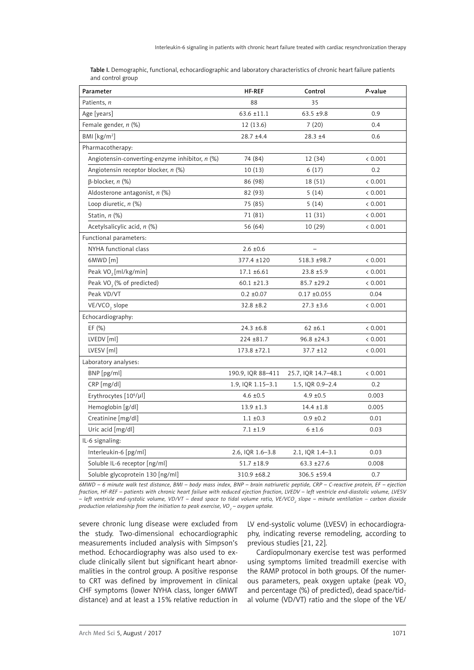| Table I. Demographic, functional, echocardiographic and laboratory characteristics of chronic heart failure patients |  |
|----------------------------------------------------------------------------------------------------------------------|--|
| and control group                                                                                                    |  |

| Parameter                                        | <b>HF-REF</b>     | Control             | P-value |
|--------------------------------------------------|-------------------|---------------------|---------|
| Patients, n                                      | 88                | 35                  |         |
| Age [years]                                      | $63.6 \pm 11.1$   | $63.5 + 9.8$        | 0.9     |
| Female gender, n (%)                             | 12 (13.6)         | 7(20)               | 0.4     |
| BMI [kg/m <sup>2</sup> ]                         | $28.7 + 4.4$      | $28.3 + 4$          | 0.6     |
| Pharmacotherapy:                                 |                   |                     |         |
| Angiotensin-converting-enzyme inhibitor, $n$ (%) | 74 (84)           | 12 (34)             | < 0.001 |
| Angiotensin receptor blocker, n (%)              | 10(13)            | 6(17)               | 0.2     |
| $\beta$ -blocker, n (%)                          | 86 (98)           | 18(51)              | < 0.001 |
| Aldosterone antagonist, n (%)                    | 82 (93)           | 5(14)               | < 0.001 |
| Loop diuretic, n (%)                             | 75 (85)           | 5(14)               | < 0.001 |
| Statin, $n$ $%$                                  | 71 (81)           | 11 (31)             | < 0.001 |
| Acetylsalicylic acid, n (%)                      | 56 (64)           | 10(29)              | < 0.001 |
| Functional parameters:                           |                   |                     |         |
| NYHA functional class                            | $2.6 \pm 0.6$     |                     |         |
| 6MWD [m]                                         | 377.4 ±120        | 518.3 ±98.7         | < 0.001 |
| Peak VO <sub>2</sub> [ml/kg/min]                 | $17.1 \pm 6.61$   | $23.8 + 5.9$        | < 0.001 |
| Peak VO <sub>2</sub> (% of predicted)            | $60.1 \pm 21.3$   | $85.7 + 29.2$       | < 0.001 |
| Peak VD/VT                                       | $0.2 \pm 0.07$    | $0.17 + 0.055$      | 0.04    |
| VE/VCO <sub>2</sub> slope                        | $32.8 \pm 8.2$    | $27.3 \pm 3.6$      | < 0.001 |
| Echocardiography:                                |                   |                     |         |
| EF $(% )$                                        | $24.3 \pm 6.8$    | $62 \pm 6.1$        | < 0.001 |
| LVEDV [ml]                                       | 224 ±81.7         | $96.8 \pm 24.3$     | < 0.001 |
| LVESV [ml]                                       | 173.8 ±72.1       | $37.7 \pm 12$       | < 0.001 |
| Laboratory analyses:                             |                   |                     |         |
| BNP [pg/ml]                                      | 190.9, IQR 88-411 | 25.7, IQR 14.7-48.1 | < 0.001 |
| CRP [mg/dl]                                      | 1.9, IQR 1.15-3.1 | 1.5, IQR 0.9-2.4    | 0.2     |
| Erythrocytes [10 <sup>6</sup> /µl]               | $4.6 \pm 0.5$     | $4.9 \pm 0.5$       | 0.003   |
| Hemoglobin [g/dl]                                | $13.9 \pm 1.3$    | $14.4 \pm 1.8$      | 0.005   |
| Creatinine [mg/dl]                               | $1.1 \pm 0.3$     | $0.9 \pm 0.2$       | 0.01    |
| Uric acid [mg/dl]                                | $7.1 \pm 1.9$     | $6 + 1.6$           | 0.03    |
| IL-6 signaling:                                  |                   |                     |         |
| Interleukin-6 [pg/ml]                            | 2.6, IQR 1.6-3.8  | 2.1, IQR 1.4-3.1    | 0.03    |
| Soluble IL-6 receptor [ng/ml]                    | $51.7 \pm 18.9$   | $63.3 \pm 27.6$     | 0.008   |
| Soluble glycoprotein 130 [ng/ml]                 | 310.9 ±68.2       | 306.5 ±59.4         | 0.7     |

*6MWD – 6 minute walk test distance, BMI – body mass index, BNP – brain natriuretic peptide, CRP – C-reactive protein, EF – ejection fraction, HF-REF – patients with chronic heart failure with reduced ejection fraction, LVEDV – left ventricle end-diastolic volume, LVESV*  − left ventricle end-systolic volume, VD/VT – dead space to tidal volume ratio, VE/VCO<sub>2</sub> slope – minute ventilation – carbon dioxide production relationship from the initiation to peak exercise, VO<sub>2</sub> — oxygen uptake.

severe chronic lung disease were excluded from the study. Two-dimensional echocardiographic measurements included analysis with Simpson's method. Echocardiography was also used to exclude clinically silent but significant heart abnormalities in the control group. A positive response to CRT was defined by improvement in clinical CHF symptoms (lower NYHA class, longer 6MWT distance) and at least a 15% relative reduction in

LV end-systolic volume (LVESV) in echocardiography, indicating reverse remodeling, according to previous studies [21, 22].

Cardiopulmonary exercise test was performed using symptoms limited treadmill exercise with the RAMP protocol in both groups. Of the numerous parameters, peak oxygen uptake (peak VO<sub>2</sub> and percentage (%) of predicted), dead space/tidal volume (VD/VT) ratio and the slope of the VE/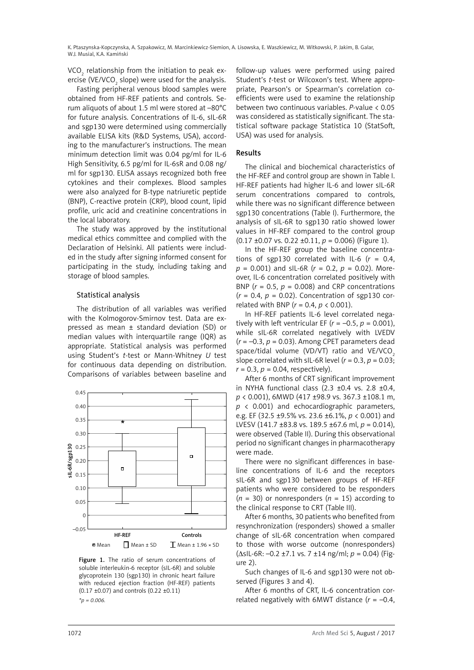VCO $_{_{2}}$  relationship from the initiation to peak exercise (VE/VCO $_{\tiny 2}$  slope) were used for the analysis.

Fasting peripheral venous blood samples were obtained from HF-REF patients and controls. Serum aliquots of about 1.5 ml were stored at –80°C for future analysis. Concentrations of IL-6, sIL-6R and sgp130 were determined using commercially available ELISA kits (R&D Systems, USA), according to the manufacturer's instructions. The mean minimum detection limit was 0.04 pg/ml for IL-6 High Sensitivity, 6.5 pg/ml for IL-6sR and 0.08 ng/ ml for sgp130. ELISA assays recognized both free cytokines and their complexes. Blood samples were also analyzed for B-type natriuretic peptide (BNP), C-reactive protein (CRP), blood count, lipid profile, uric acid and creatinine concentrations in the local laboratory.

The study was approved by the institutional medical ethics committee and complied with the Declaration of Helsinki. All patients were included in the study after signing informed consent for participating in the study, including taking and storage of blood samples.

#### Statistical analysis

The distribution of all variables was verified with the Kolmogorov-Smirnov test. Data are expressed as mean ± standard deviation (SD) or median values with interquartile range (IQR) as appropriate. Statistical analysis was performed using Student's *t*-test or Mann-Whitney *U* test for continuous data depending on distribution. Comparisons of variables between baseline and



Figure 1. The ratio of serum concentrations of soluble interleukin-6 receptor (sIL-6R) and soluble glycoprotein 130 (sgp130) in chronic heart failure with reduced ejection fraction (HF-REF) patients (0.17 ±0.07) and controls (0.22 ±0.11) *\*p = 0.006.*

follow-up values were performed using paired Student's *t*-test or Wilcoxon's test. Where appropriate, Pearson's or Spearman's correlation coefficients were used to examine the relationship between two continuous variables. *P*-value < 0.05 was considered as statistically significant. The statistical software package Statistica 10 (StatSoft, USA) was used for analysis.

# Results

The clinical and biochemical characteristics of the HF-REF and control group are shown in Table I. HF-REF patients had higher IL-6 and lower sIL-6R serum concentrations compared to controls, while there was no significant difference between sgp130 concentrations (Table I). Furthermore, the analysis of sIL-6R to sgp130 ratio showed lower values in HF-REF compared to the control group (0.17 ±0.07 vs. 0.22 ±0.11, *p* = 0.006) (Figure 1).

In the HF-REF group the baseline concentrations of sgp130 correlated with IL-6  $(r = 0.4,$ *p* = 0.001) and sIL-6R (*r* = 0.2, *p* = 0.02). Moreover, IL-6 concentration correlated positively with BNP ( $r = 0.5$ ,  $p = 0.008$ ) and CRP concentrations  $(r = 0.4, p = 0.02)$ . Concentration of sgp130 correlated with BNP (*r* = 0.4, *p* < 0.001).

In HF-REF patients IL-6 level correlated negatively with left ventricular EF ( $r = -0.5$ ,  $p = 0.001$ ), while sIL-6R correlated negatively with LVEDV  $(r = -0.3, p = 0.03)$ . Among CPET parameters dead space/tidal volume (VD/VT) ratio and VE/VCO<sub>2</sub> slope correlated with sIL-6R level  $(r = 0.3, p = 0.03)$ ;  $r = 0.3$ ,  $p = 0.04$ , respectively).

After 6 months of CRT significant improvement in NYHA functional class  $(2.3 \pm 0.4 \text{ vs. } 2.8 \pm 0.4,$ *p* < 0.001), 6MWD (417 ±98.9 vs. 367.3 ±108.1 m, *p* < 0.001) and echocardiographic parameters, e.g. EF (32.5 ±9.5% vs. 23.6 ±6.1%, *p* < 0.001) and LVESV (141.7 ±83.8 vs. 189.5 ±67.6 ml, *p* = 0.014), were observed (Table II). During this observational period no significant changes in pharmacotherapy were made.

There were no significant differences in baseline concentrations of IL-6 and the receptors sIL-6R and sgp130 between groups of HF-REF patients who were considered to be responders  $(n = 30)$  or nonresponders  $(n = 15)$  according to the clinical response to CRT (Table III).

After 6 months, 30 patients who benefited from resynchronization (responders) showed a smaller change of sIL-6R concentration when compared to those with worse outcome (nonresponders) (ΔsIL-6R: –0.2 ±7.1 vs. 7 ±14 ng/ml; *p* = 0.04) (Figure 2).

Such changes of IL-6 and sgp130 were not observed (Figures 3 and 4).

After 6 months of CRT, IL-6 concentration correlated negatively with 6MWT distance  $(r = -0.4,$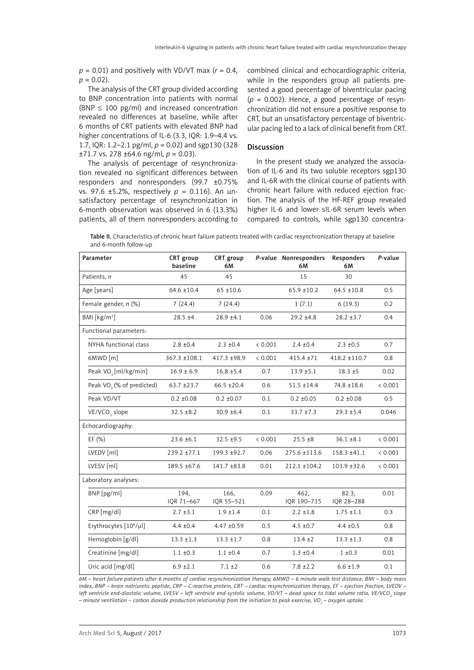$p = 0.01$ ) and positively with VD/VT max ( $r = 0.4$ ,  $p = 0.02$ ).

The analysis of the CRT group divided according to BNP concentration into patients with normal (BNP  $\leq$  100 pg/ml) and increased concentration revealed no differences at baseline, while after 6 months of CRT patients with elevated BNP had higher concentrations of IL-6 (3.3, IQR: 1.9–4.4 vs. 1.7, IQR: 1.2–2.1 pg/ml, *p* = 0.02) and sgp130 (328  $±71.7$  vs. 278  $±64.6$  ng/ml,  $p = 0.03$ ).

The analysis of percentage of resynchronization revealed no significant differences between responders and nonresponders (99.7 ±0.75% vs. 97.6 ±5.2%, respectively *p* = 0.116). An unsatisfactory percentage of resynchronization in 6-month observation was observed in 6 (13.3%) patients, all of them nonresponders according to combined clinical and echocardiographic criteria, while in the responders group all patients presented a good percentage of biventricular pacing  $(p = 0.002)$ . Hence, a good percentage of resynchronization did not ensure a positive response to CRT, but an unsatisfactory percentage of biventricular pacing led to a lack of clinical benefit from CRT.

#### Discussion

In the present study we analyzed the association of IL-6 and its two soluble receptors sgp130 and IL-6R with the clinical course of patients with chronic heart failure with reduced ejection fraction. The analysis of the HF-REF group revealed higher IL-6 and lower sIL-6R serum levels when compared to controls, while sgp130 concentra-

Table II. Characteristics of chronic heart failure patients treated with cardiac resynchronization therapy at baseline and 6-month follow-up

| Parameter                             | <b>CRT</b> group<br>baseline | CRT group<br>6М    |         | P-value Nonresponders<br>6М | Responders<br>6М    | P-value |
|---------------------------------------|------------------------------|--------------------|---------|-----------------------------|---------------------|---------|
| Patients, n                           | 45                           | 45                 |         | 15                          | 30                  |         |
| Age [years]                           | $64.6 \pm 10.4$              | $65 + 10.6$        |         | $65.9 \pm 10.2$             | $64.5 \pm 10.8$     | 0.5     |
| Female gender, n (%)                  | 7(24.4)                      | 7(24.4)            |         | 1(7.1)                      | 6(19.3)             | 0.2     |
| BMI [ $kg/m2$ ]                       | $28.5 \pm 4$                 | $28.9 \pm 4.1$     | 0.06    | $29.2 + 4.8$                | $28.2 + 3.7$        | 0.4     |
| Functional parameters:                |                              |                    |         |                             |                     |         |
| NYHA functional class                 | $2.8 \pm 0.4$                | $2.3 \pm 0.4$      | < 0.001 | $2.4 \pm 0.4$               | $2.3 \pm 0.5$       | 0.7     |
| 6MWD [m]                              | 367.3 ±108.1                 | 417.3 ±98.9        | < 0.001 | $415.4 \pm 71$              | 418.2 ±110.7        | 0.8     |
| Peak VO <sub>2</sub> [ml/kg/min]      | $16.9 \pm 6.9$               | $16.8 \pm 5.4$     | 0.7     | $13.9 \pm 5.1$              | $18.3 \pm 5$        | 0.02    |
| Peak VO <sub>2</sub> (% of predicted) | $63.7 + 23.7$                | $66.5 \pm 20.4$    | 0.6     | $51.5 \pm 14.4$             | 74.8 ±18.6          | < 0.001 |
| Peak VD/VT                            | $0.2 \pm 0.08$               | $0.2 \pm 0.07$     | 0.1     | $0.2 \pm 0.05$              | $0.2 \pm 0.08$      | 0.5     |
| VE/VCO <sub>2</sub> slope             | $32.5 \pm 8.2$               | 30.9 ±6.4          | 0.1     | $33.7 + 7.3$                | $29.3 \pm 5.4$      | 0.046   |
| Echocardiography:                     |                              |                    |         |                             |                     |         |
| EF (%)                                | $23.6 \pm 6.1$               | $32.5 + 9.5$       | < 0.001 | $25.5 \pm 8$                | $36.1 \pm 8.1$      | < 0.001 |
| LVEDV [ml]                            | 239.2 ±77.1                  | 199.3 ±92.7        | 0.06    | 275.6 ±113.6                | 158.3 ±41.1         | < 0.001 |
| LVESV [ml]                            | 189.5 ±67.6                  | 141.7 ±83.8        | 0.01    | $212.1 \pm 104.2$           | $103.9 + 32.6$      | < 0.001 |
| Laboratory analyses:                  |                              |                    |         |                             |                     |         |
| $BNP$ [pg/ml]                         | 194,<br>IOR 71-667           | 166,<br>IOR 55-521 | 0.09    | 462,<br>IOR 190-715         | 82.3.<br>IOR 28-288 | 0.01    |
| CRP [mg/dl]                           | $2.7 \pm 3.1$                | $1.9 \pm 1.4$      | 0.1     | $2.2 \pm 1.8$               | $1.75 \pm 1.1$      | 0.3     |
| Erythrocytes [10 <sup>6</sup> /µl]    | $4.4 \pm 0.4$                | $4.47 + 0.59$      | 0.5     | $4.5 \pm 0.7$               | $4.4 \pm 0.5$       | 0.8     |
| Hemoglobin [g/dl]                     | $13.3 \pm 1.3$               | $13.3 \pm 1.7$     | 0.8     | $13.4 \pm 2$                | $13.3 \pm 1.3$      | 0.8     |
| Creatinine [mg/dl]                    | $1.1 \pm 0.3$                | $1.1 \pm 0.4$      | 0.7     | $1.3 \pm 0.4$               | $1 \pm 0.3$         | 0.01    |
| Uric acid [mg/dl]                     | $6.9 \pm 2.1$                | $7.1 \pm 2$        | 0.6     | $7.8 \pm 2.2$               | $6.6 \pm 1.9$       | 0.1     |

*6M – heart failure patients after 6 months of cardiac resynchronization therapy, 6MWD – 6 minute walk test distance, BMI – body mass index, BNP – brain natriuretic peptide, CRP – C-reactive protein, CRT – cardiac resynchronization therapy, EF – ejection fraction, LVEDV –*  left ventricle end-diastolic volume, LVESV – left ventricle end-systolic volume, VD/VT – dead space to tidal volume ratio, VE/VCO<sub>2</sub> slope *– minute ventilation* − *carbon dioxide production relationship from the initiation to peak exercise, VO2 – oxygen uptake.*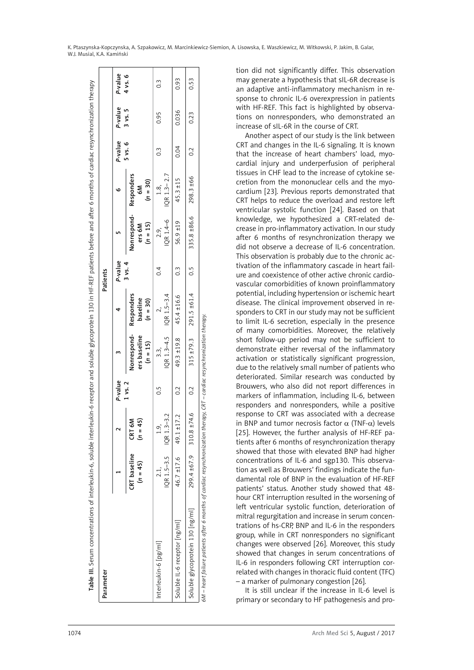| Parameter                                                                                                                 |                            |                                              |             |                                           |                                             | Patients         |                                     |                                      |               |         |               |
|---------------------------------------------------------------------------------------------------------------------------|----------------------------|----------------------------------------------|-------------|-------------------------------------------|---------------------------------------------|------------------|-------------------------------------|--------------------------------------|---------------|---------|---------------|
|                                                                                                                           |                            |                                              | P-value     |                                           |                                             | P-value          |                                     | ٥                                    | P-value       | P-value | P-value       |
|                                                                                                                           | CRT baseline<br>$(n = 45)$ | $\overline{5}$<br>ŠÑ<br>CRT<br>$\frac{1}{2}$ | $1$ vs. $2$ | Nonrespond-<br>ers baseline<br>$(n = 15)$ | <b>Responders</b><br>baseline<br>$(n = 30)$ | $3$ vs. 4        | Nonrespond-<br>$(n = 15)$<br>ers 6M | <b>Responders</b><br>$(n = 30)$<br>Š | 5 vs. 6       | 3 vs. 5 | 4 vs. 6       |
| Interleukin-6 [pg/ml]                                                                                                     | 2.1.                       | $QR$ 1.5-3.5 $QR$ 1.3-3.2<br>1.9.            | 0.5         | $\frac{3}{3}$                             | IQR 1.3-4.5 IQR 1.5-3.4                     | $\dot{\circ}$    | IQR 1.4-6<br>2.9,                   | $IQR 1.3 - 2.7$<br>1.8,              | $\frac{3}{2}$ | 0.95    | $\frac{3}{2}$ |
| Soluble IL-6 receptor [ng/ml]                                                                                             |                            | $46.7 \pm 17.6$ 49.1 $\pm 17.2$              | 0.2         |                                           | $49.3 \pm 19.8$ $45.4 \pm 16.6$             | $0.\overline{3}$ | $56.9 \pm 19$                       | 45.3 ±15                             | 0.04          | 0.036   | 0.93          |
| Soluble glycoprotein 130 [ng/ml]                                                                                          |                            | $299.4 \pm 67.9$ 310.8 $\pm 74.6$            | 0.2         |                                           | $315 \pm 79.3$ 291.5 $\pm 61.4$             | $\frac{5}{2}$    | $335.8 \pm 86.6$ 298.3 $\pm 66$     |                                      | 0.2           | 0.23    | 0.53          |
| 6M – heart failure patients after 6 months of cardiac resynchronization therapy, CRT – cardiac resynchronization therapy. |                            |                                              |             |                                           |                                             |                  |                                     |                                      |               |         |               |

tion did not significantly differ. This observation may generate a hypothesis that sIL-6R decrease is an adaptive anti-inflammatory mechanism in re sponse to chronic IL-6 overexpression in patients with HF-REF. This fact is highlighted by observa tions on nonresponders, who demonstrated an increase of sIL-6R in the course of CRT.

Another aspect of our study is the link between CRT and changes in the IL-6 signaling. It is known that the increase of heart chambers' load, myo cardial injury and underperfusion of peripheral tissues in CHF lead to the increase of cytokine se cretion from the mononuclear cells and the myo cardium [23]. Previous reports demonstrated that CRT helps to reduce the overload and restore left ventricular systolic function [24]. Based on that knowledge, we hypothesized a CRT-related de crease in pro-inflammatory activation. In our study after 6 months of resynchronization therapy we did not observe a decrease of IL-6 concentration. This observation is probably due to the chronic ac tivation of the inflammatory cascade in heart fail ure and coexistence of other active chronic cardio vascular comorbidities of known proinflammatory potential, including hypertension or ischemic heart disease. The clinical improvement observed in re sponders to CRT in our study may not be sufficient to limit IL-6 secretion, especially in the presence of many comorbidities. Moreover, the relatively short follow-up period may not be sufficient to demonstrate either reversal of the inflammatory activation or statistically significant progression, due to the relatively small number of patients who deteriorated. Similar research was conducted by Brouwers, who also did not report differences in markers of inflammation, including IL-6, between responders and nonresponders, while a positive response to CRT was associated with a decrease in BNP and tumor necrosis factor  $\alpha$  (TNF- $\alpha$ ) levels [25]. However, the further analysis of HF-REF pa tients after 6 months of resynchronization therapy showed that those with elevated BNP had higher concentrations of IL-6 and sgp130. This observa tion as well as Brouwers' findings indicate the fun damental role of BNP in the evaluation of HF-REF patients' status. Another study showed that 48 hour CRT interruption resulted in the worsening of left ventricular systolic function, deterioration of mitral regurgitation and increase in serum concen trations of hs-CRP, BNP and IL-6 in the responders group, while in CRT nonresponders no significant changes were observed [26]. Moreover, this study showed that changes in serum concentrations of IL-6 in responders following CRT interruption correlated with changes in thoracic fluid content (TFC) – a marker of pulmonary congestion [26].

It is still unclear if the increase in IL-6 level is primary or secondary to HF pathogenesis and pro -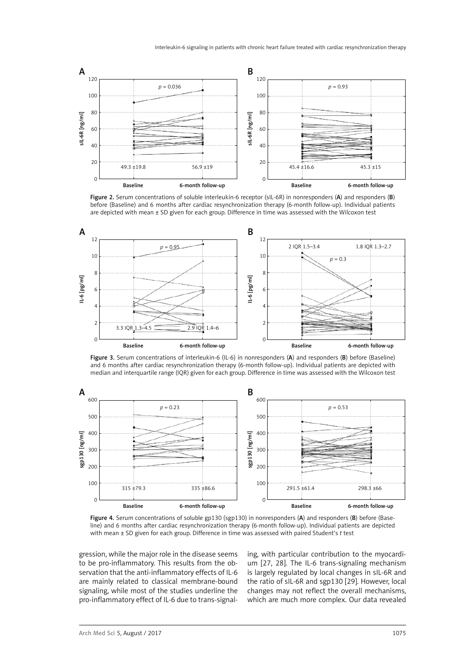

Figure 2. Serum concentrations of soluble interleukin-6 receptor (sIL-6R) in nonresponders (A) and responders (B) before (Baseline) and 6 months after cardiac resynchronization therapy (6-month follow-up). Individual patients are depicted with mean ± SD given for each group. Difference in time was assessed with the Wilcoxon test



Figure 3. Serum concentrations of interleukin-6 (IL-6) in nonresponders (A) and responders (B) before (Baseline) and 6 months after cardiac resynchronization therapy (6-month follow-up). Individual patients are depicted with median and interquartile range (IQR) given for each group. Difference in time was assessed with the Wilcoxon test



Figure 4. Serum concentrations of soluble gp130 (sgp130) in nonresponders (A) and responders (B) before (Baseline) and 6 months after cardiac resynchronization therapy (6-month follow-up). Individual patients are depicted with mean ± SD given for each group. Difference in time was assessed with paired Student's *t* test

gression, while the major role in the disease seems to be pro-inflammatory. This results from the observation that the anti-inflammatory effects of IL-6 are mainly related to classical membrane-bound signaling, while most of the studies underline the pro-inflammatory effect of IL-6 due to trans-signaling, with particular contribution to the myocardium [27, 28]. The IL-6 trans-signaling mechanism is largely regulated by local changes in sIL-6R and the ratio of sIL-6R and sgp130 [29]. However, local changes may not reflect the overall mechanisms, which are much more complex. Our data revealed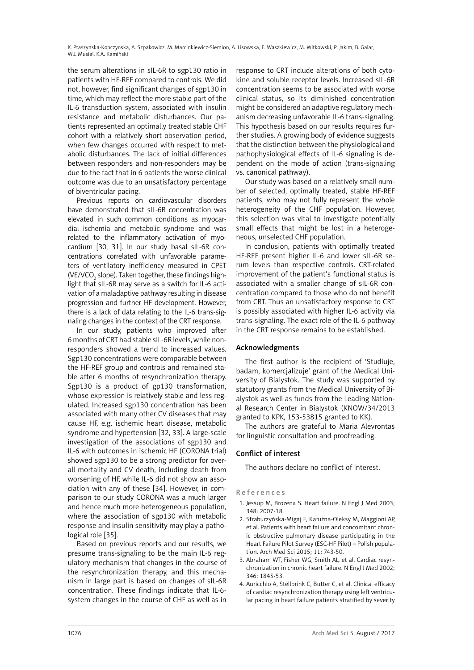the serum alterations in sIL-6R to sgp130 ratio in patients with HF-REF compared to controls. We did not, however, find significant changes of sgp130 in time, which may reflect the more stable part of the IL-6 transduction system, associated with insulin resistance and metabolic disturbances. Our patients represented an optimally treated stable CHF cohort with a relatively short observation period, when few changes occurred with respect to metabolic disturbances. The lack of initial differences between responders and non-responders may be due to the fact that in 6 patients the worse clinical outcome was due to an unsatisfactory percentage of biventricular pacing.

Previous reports on cardiovascular disorders have demonstrated that sIL-6R concentration was elevated in such common conditions as myocardial ischemia and metabolic syndrome and was related to the inflammatory activation of myocardium [30, 31]. In our study basal sIL-6R concentrations correlated with unfavorable parameters of ventilatory inefficiency measured in CPET (VE/VCO $_{\tiny 2}$  slope). Taken together, these findings highlight that sIL-6R may serve as a switch for IL-6 activation of a maladaptive pathway resulting in disease progression and further HF development. However, there is a lack of data relating to the IL-6 trans-signaling changes in the context of the CRT response.

In our study, patients who improved after 6 months of CRT had stable sIL-6R levels, while nonresponders showed a trend to increased values. Sgp130 concentrations were comparable between the HF-REF group and controls and remained stable after 6 months of resynchronization therapy. Sgp130 is a product of gp130 transformation, whose expression is relatively stable and less regulated. Increased sgp130 concentration has been associated with many other CV diseases that may cause HF, e.g. ischemic heart disease, metabolic syndrome and hypertension [32, 33]. A large-scale investigation of the associations of sgp130 and IL-6 with outcomes in ischemic HF (CORONA trial) showed sgp130 to be a strong predictor for overall mortality and CV death, including death from worsening of HF, while IL-6 did not show an association with any of these [34]. However, in comparison to our study CORONA was a much larger and hence much more heterogeneous population, where the association of sgp130 with metabolic response and insulin sensitivity may play a pathological role [35].

Based on previous reports and our results, we presume trans-signaling to be the main IL-6 regulatory mechanism that changes in the course of the resynchronization therapy, and this mechanism in large part is based on changes of sIL-6R concentration. These findings indicate that IL-6 system changes in the course of CHF as well as in

response to CRT include alterations of both cytokine and soluble receptor levels. Increased sIL-6R concentration seems to be associated with worse clinical status, so its diminished concentration might be considered an adaptive regulatory mechanism decreasing unfavorable IL-6 trans-signaling. This hypothesis based on our results requires further studies. A growing body of evidence suggests that the distinction between the physiological and pathophysiological effects of IL-6 signaling is dependent on the mode of action (trans-signaling vs. canonical pathway).

Our study was based on a relatively small number of selected, optimally treated, stable HF-REF patients, who may not fully represent the whole heterogeneity of the CHF population. However, this selection was vital to investigate potentially small effects that might be lost in a heterogeneous, unselected CHF population.

In conclusion, patients with optimally treated HF-REF present higher IL-6 and lower sIL-6R serum levels than respective controls. CRT-related improvement of the patient's functional status is associated with a smaller change of sIL-6R concentration compared to those who do not benefit from CRT. Thus an unsatisfactory response to CRT is possibly associated with higher IL-6 activity via trans-signaling. The exact role of the IL-6 pathway in the CRT response remains to be established.

# Acknowledgments

The first author is the recipient of 'Studiuje, badam, komercjalizuje' grant of the Medical University of Bialystok. The study was supported by statutory grants from the Medical University of Bialystok as well as funds from the Leading National Research Center in Bialystok (KNOW/34/2013 granted to KPK, 153-53815 granted to KK).

The authors are grateful to Maria Alevrontas for linguistic consultation and proofreading.

# Conflict of interest

The authors declare no conflict of interest.

# References

- 1. Jessup M, Brozena S. Heart failure. N Engl J Med 2003; 348: 2007-18.
- 2. Straburzyńska-Migaj E, Kałużna-Oleksy M, Maggioni AP, et al. Patients with heart failure and concomitant chronic obstructive pulmonary disease participating in the Heart Failure Pilot Survey (ESC-HF Pilot) – Polish population. Arch Med Sci 2015; 11: 743-50.
- 3. Abraham WT, Fisher WG, Smith AL, et al. Cardiac resynchronization in chronic heart failure. N Engl J Med 2002; 346: 1845-53.
- 4. Auricchio A, Stellbrink C, Butter C, et al. Clinical efficacy of cardiac resynchronization therapy using left ventricular pacing in heart failure patients stratified by severity